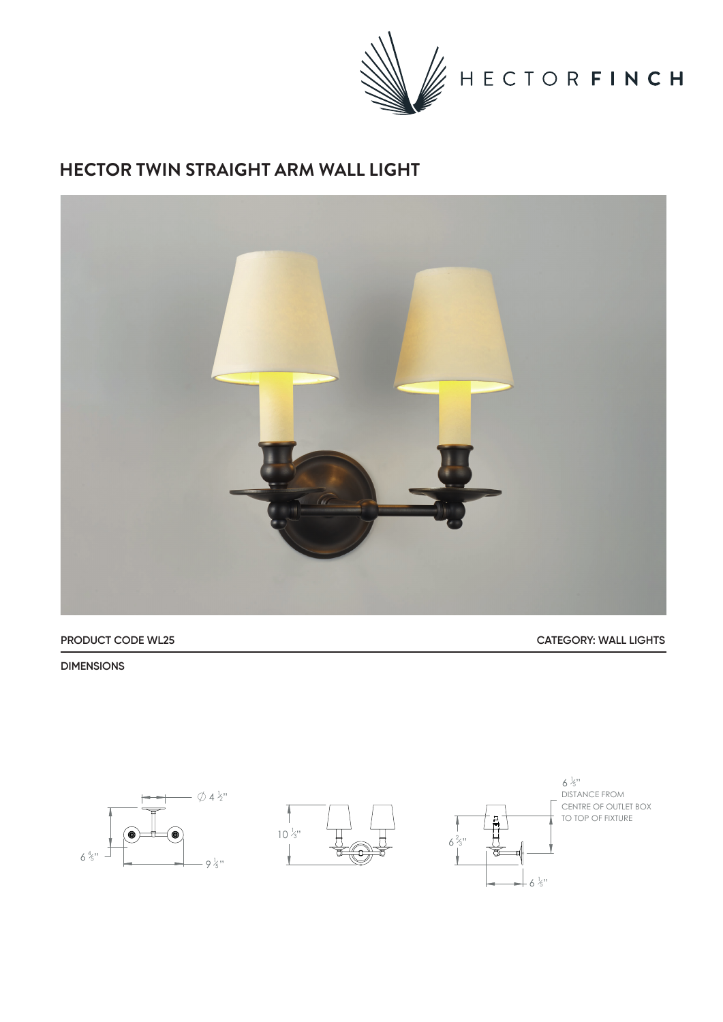

## **HECTOR TWIN STRAIGHT ARM WALL LIGHT**



**PRODUCT CODE WL25 CATEGORY: WALL LIGHTS**

**DIMENSIONS**